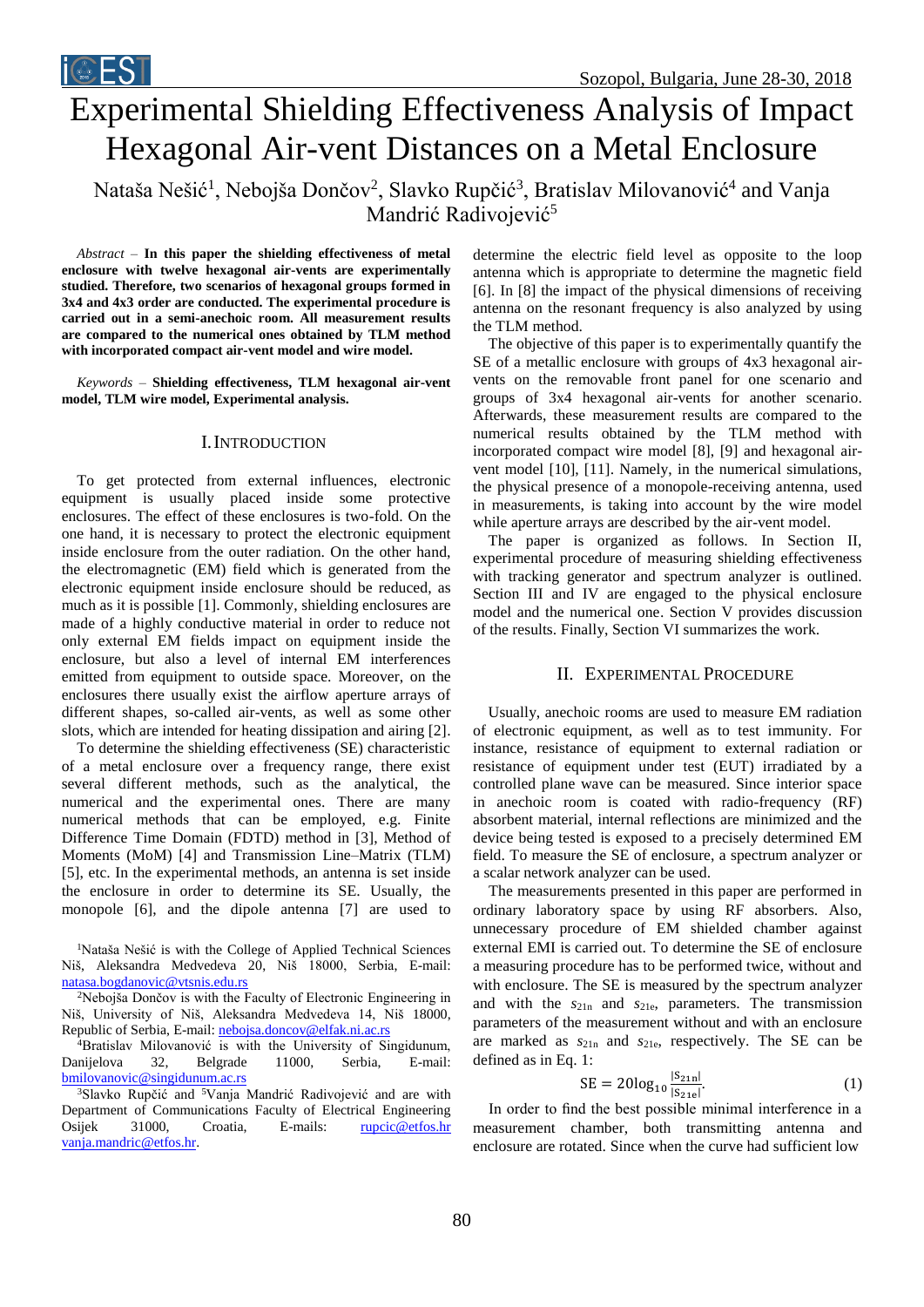# Experimental Shielding Effectiveness Analysis of Impact Hexagonal Air-vent Distances on a Metal Enclosure Nataša Nešić<sup>1</sup>, Nebojša Dončov<sup>2</sup>, Slavko Rupčić<sup>3</sup>, Bratislav Milovanović<sup>4</sup> and Vanja

Mandrić Radivojević<sup>5</sup>

*Abstract –* **In this paper the shielding effectiveness of metal enclosure with twelve hexagonal air-vents are experimentally studied. Therefore, two scenarios of hexagonal groups formed in 3x4 and 4x3 order are conducted. The experimental procedure is carried out in a semi-anechoic room. All measurement results are compared to the numerical ones obtained by TLM method with incorporated compact air-vent model and wire model.**

*Keywords –* **Shielding effectiveness, TLM hexagonal air-vent model, TLM wire model, Experimental analysis.**

### I.INTRODUCTION

To get protected from external influences, electronic equipment is usually placed inside some protective enclosures. The effect of these enclosures is two-fold. On the one hand, it is necessary to protect the electronic equipment inside enclosure from the outer radiation. On the other hand, the electromagnetic (EM) field which is generated from the electronic equipment inside enclosure should be reduced, as much as it is possible [1]. Commonly, shielding enclosures are made of a highly conductive material in order to reduce not only external EM fields impact on equipment inside the enclosure, but also a level of internal EM interferences emitted from equipment to outside space. Moreover, on the enclosures there usually exist the airflow aperture arrays of different shapes, so-called air-vents, as well as some other slots, which are intended for heating dissipation and airing [2].

To determine the shielding effectiveness (SE) characteristic of a metal enclosure over a frequency range, there exist several different methods, such as the analytical, the numerical and the experimental ones. There are many numerical methods that can be employed, e.g. Finite Difference Time Domain (FDTD) method in [3], Method of Moments (MoM) [4] and Transmission Line–Matrix (TLM) [5], etc. In the experimental methods, an antenna is set inside the enclosure in order to determine its SE. Usually, the monopole [6], and the dipole antenna [7] are used to

<sup>1</sup>Nataša Nešić is with the College of Applied Technical Sciences Niš, Aleksandra Medvedeva 20, Niš 18000, Serbia, E-mail: [natasa.bogdanovic@vtsnis.edu.rs](mailto:natasa.bogdanovic@vtsnis.edu.rs) 

<sup>2</sup>Nebojša Dončov is with the Faculty of Electronic Engineering in Niš, University of Niš, Aleksandra Medvedeva 14, Niš 18000, Republic of Serbia, E-mail: [nebojsa.doncov@elfak.ni.ac.rs](mailto:nebojsa.doncov@elfak.ni.ac.rs)

 $4B$ ratislav Milovanović is with the University of Singidunum, Danijelova 32, Belgrade 11000, Serbia, E-mail: [bmilovanovic@singidunum.ac.rs](mailto:bmilovanovic@singidunum.ac.rs)

<sup>3</sup>Slavko Rupčić and <sup>5</sup>Vanja Mandrić Radivojević and are with Department of Communications Faculty of Electrical Engineering Osijek 31000, Croatia, E-mails: [rupcic@etfos.hr](mailto:rupcic@etfos.hr) [vanja.mandric@etfos.hr.](mailto:vanja.mandric@etfos.hr) 

determine the electric field level as opposite to the loop antenna which is appropriate to determine the magnetic field [6]. In [8] the impact of the physical dimensions of receiving antenna on the resonant frequency is also analyzed by using the TLM method.

The objective of this paper is to experimentally quantify the SE of a metallic enclosure with groups of 4x3 hexagonal airvents on the removable front panel for one scenario and groups of 3x4 hexagonal air-vents for another scenario. Afterwards, these measurement results are compared to the numerical results obtained by the TLM method with incorporated compact wire model [8], [9] and hexagonal airvent model [10], [11]. Namely, in the numerical simulations, the physical presence of a monopole-receiving antenna, used in measurements, is taking into account by the wire model while aperture arrays are described by the air-vent model.

The paper is organized as follows. In Section II, experimental procedure of measuring shielding effectiveness with tracking generator and spectrum analyzer is outlined. Section III and IV are engaged to the physical enclosure model and the numerical one. Section V provides discussion of the results. Finally, Section VI summarizes the work.

#### II. EXPERIMENTAL PROCEDURE

Usually, anechoic rooms are used to measure EM radiation of electronic equipment, as well as to test immunity. For instance, resistance of equipment to external radiation or resistance of equipment under test (EUT) irradiated by a controlled plane wave can be measured. Since interior space in anechoic room is coated with radio-frequency (RF) absorbent material, internal reflections are minimized and the device being tested is exposed to a precisely determined EM field. To measure the SE of enclosure, a spectrum analyzer or a scalar network analyzer can be used.

The measurements presented in this paper are performed in ordinary laboratory space by using RF absorbers. Also, unnecessary procedure of EM shielded chamber against external EMI is carried out. To determine the SE of enclosure a measuring procedure has to be performed twice, without and with enclosure. The SE is measured by the spectrum analyzer and with the *s*21n and *s*21e, parameters. The transmission parameters of the measurement without and with an enclosure are marked as *s*21n and *s*21e, respectively. The SE can be defined as in Eq. 1:

$$
SE = 20\log_{10}\frac{|S_{21n}|}{|S_{21e}|}.
$$
 (1)

In order to find the best possible minimal interference in a measurement chamber, both transmitting antenna and enclosure are rotated. Since when the curve had sufficient low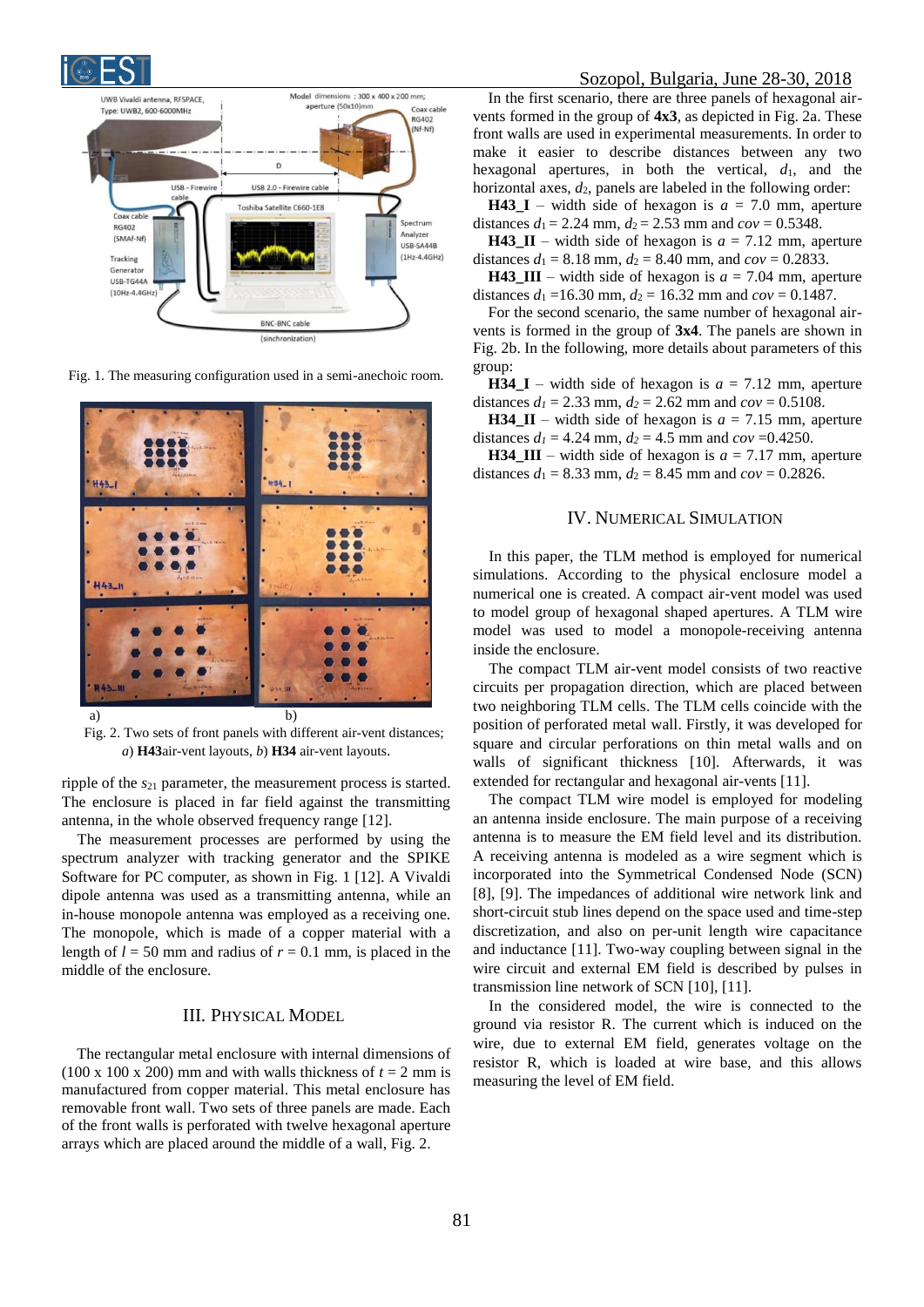



Fig. 1. The measuring configuration used in a semi-anechoic room.



Fig. 2. Two sets of front panels with different air-vent distances; *a*) **H43**air-vent layouts, *b*) **H34** air-vent layouts.

ripple of the *s*<sup>21</sup> parameter, the measurement process is started. The enclosure is placed in far field against the transmitting antenna, in the whole observed frequency range [12].

The measurement processes are performed by using the spectrum analyzer with tracking generator and the SPIKE Software for PC computer, as shown in Fig. 1 [12]. A Vivaldi dipole antenna was used as a transmitting antenna, while an in-house monopole antenna was employed as a receiving one. The monopole, which is made of a copper material with a length of  $l = 50$  mm and radius of  $r = 0.1$  mm, is placed in the middle of the enclosure.

# III. PHYSICAL MODEL

The rectangular metal enclosure with internal dimensions of (100 x 100 x 200) mm and with walls thickness of  $t = 2$  mm is manufactured from copper material. This metal enclosure has removable front wall. Two sets of three panels are made. Each of the front walls is perforated with twelve hexagonal aperture arrays which are placed around the middle of a wall, Fig. 2.

In the first scenario, there are three panels of hexagonal airvents formed in the group of **4x3**, as depicted in Fig. 2a. These front walls are used in experimental measurements. In order to make it easier to describe distances between any two hexagonal apertures, in both the vertical,  $d_1$ , and the horizontal axes,  $d_2$ , panels are labeled in the following order:

**H43\_I** – width side of hexagon is  $a = 7.0$  mm, aperture distances  $d_1 = 2.24$  mm,  $d_2 = 2.53$  mm and  $cov = 0.5348$ .

**H43\_II** – width side of hexagon is  $a = 7.12$  mm, aperture distances  $d_1 = 8.18$  mm,  $d_2 = 8.40$  mm, and  $cov = 0.2833$ .

**H43\_III** – width side of hexagon is  $a = 7.04$  mm, aperture distances  $d_1 = 16.30$  mm,  $d_2 = 16.32$  mm and  $cov = 0.1487$ .

For the second scenario, the same number of hexagonal airvents is formed in the group of **3x4**. The panels are shown in Fig. 2b. In the following, more details about parameters of this group:

**H34** I – width side of hexagon is  $a = 7.12$  mm, aperture distances  $d_1 = 2.33$  mm,  $d_2 = 2.62$  mm and  $cov = 0.5108$ .

**H34\_II** – width side of hexagon is  $a = 7.15$  mm, aperture distances  $d_1 = 4.24$  mm,  $d_2 = 4.5$  mm and  $cov = 0.4250$ .

**H34\_III** – width side of hexagon is  $a = 7.17$  mm, aperture distances  $d_1 = 8.33$  mm,  $d_2 = 8.45$  mm and  $cov = 0.2826$ .

#### IV. NUMERICAL SIMULATION

In this paper, the TLM method is employed for numerical simulations. According to the physical enclosure model a numerical one is created. A compact air-vent model was used to model group of hexagonal shaped apertures. A TLM wire model was used to model a monopole-receiving antenna inside the enclosure.

The compact TLM air-vent model consists of two reactive circuits per propagation direction, which are placed between two neighboring TLM cells. The TLM cells coincide with the position of perforated metal wall. Firstly, it was developed for square and circular perforations on thin metal walls and on walls of significant thickness [10]. Afterwards, it was extended for rectangular and hexagonal air-vents [11].

The compact TLM wire model is employed for modeling an antenna inside enclosure. The main purpose of a receiving antenna is to measure the EM field level and its distribution. A receiving antenna is modeled as a wire segment which is incorporated into the Symmetrical Condensed Node (SCN) [8], [9]. The impedances of additional wire network link and short-circuit stub lines depend on the space used and time-step discretization, and also on per-unit length wire capacitance and inductance [11]. Two-way coupling between signal in the wire circuit and external EM field is described by pulses in transmission line network of SCN [10], [11].

In the considered model, the wire is connected to the ground via resistor R. The current which is induced on the wire, due to external EM field, generates voltage on the resistor R, which is loaded at wire base, and this allows measuring the level of EM field.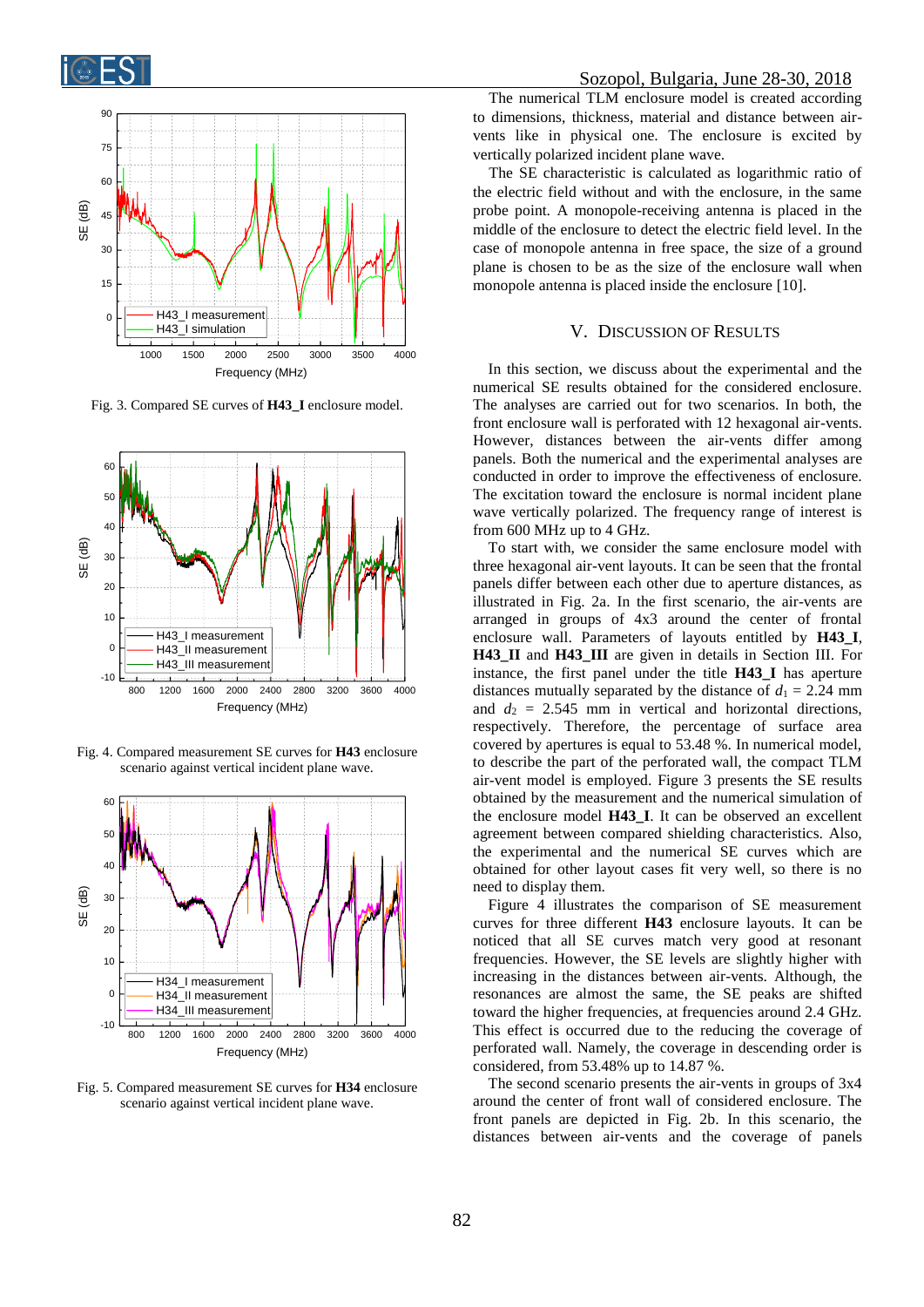



Fig. 3. Compared SE curves of **H43\_I** enclosure model.



Fig. 4. Compared measurement SE curves for **H43** enclosure scenario against vertical incident plane wave.



Fig. 5. Compared measurement SE curves for **H34** enclosure scenario against vertical incident plane wave.

The numerical TLM enclosure model is created according to dimensions, thickness, material and distance between airvents like in physical one. The enclosure is excited by vertically polarized incident plane wave.

The SE characteristic is calculated as logarithmic ratio of the electric field without and with the enclosure, in the same probe point. A monopole-receiving antenna is placed in the middle of the enclosure to detect the electric field level. In the case of monopole antenna in free space, the size of a ground plane is chosen to be as the size of the enclosure wall when monopole antenna is placed inside the enclosure [10].

## V. DISCUSSION OF RESULTS

In this section, we discuss about the experimental and the numerical SE results obtained for the considered enclosure. The analyses are carried out for two scenarios. In both, the front enclosure wall is perforated with 12 hexagonal air-vents. However, distances between the air-vents differ among panels. Both the numerical and the experimental analyses are conducted in order to improve the effectiveness of enclosure. The excitation toward the enclosure is normal incident plane wave vertically polarized. The frequency range of interest is from 600 MHz up to 4 GHz.

To start with, we consider the same enclosure model with three hexagonal air-vent layouts. It can be seen that the frontal panels differ between each other due to aperture distances, as illustrated in Fig. 2a. In the first scenario, the air-vents are arranged in groups of 4x3 around the center of frontal enclosure wall. Parameters of layouts entitled by **H43\_I**, **H43\_II** and **H43\_III** are given in details in Section III. For instance, the first panel under the title **H43\_I** has aperture distances mutually separated by the distance of  $d_1 = 2.24$  mm and  $d_2 = 2.545$  mm in vertical and horizontal directions, respectively. Therefore, the percentage of surface area covered by apertures is equal to 53.48 %. In numerical model, to describe the part of the perforated wall, the compact TLM air-vent model is employed. Figure 3 presents the SE results obtained by the measurement and the numerical simulation of the enclosure model **H43\_I**. It can be observed an excellent agreement between compared shielding characteristics. Also, the experimental and the numerical SE curves which are obtained for other layout cases fit very well, so there is no need to display them.

Figure 4 illustrates the comparison of SE measurement curves for three different **H43** enclosure layouts. It can be noticed that all SE curves match very good at resonant frequencies. However, the SE levels are slightly higher with increasing in the distances between air-vents. Although, the resonances are almost the same, the SE peaks are shifted toward the higher frequencies, at frequencies around 2.4 GHz. This effect is occurred due to the reducing the coverage of perforated wall. Namely, the coverage in descending order is considered, from 53.48% up to 14.87 %.

The second scenario presents the air-vents in groups of 3x4 around the center of front wall of considered enclosure. The front panels are depicted in Fig. 2b. In this scenario, the distances between air-vents and the coverage of panels